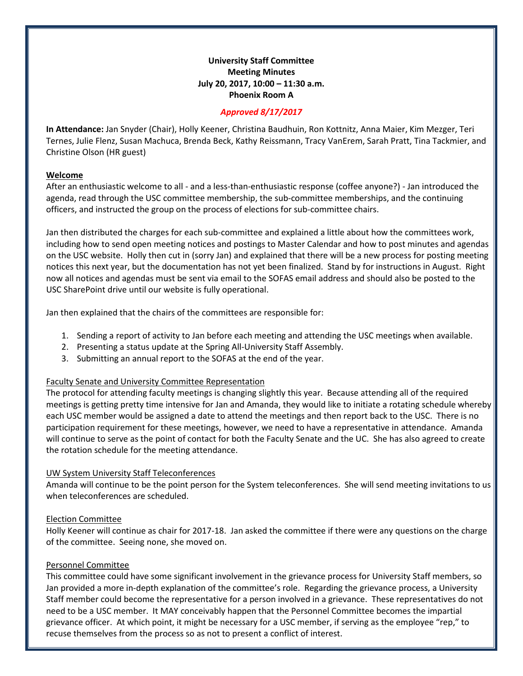# **University Staff Committee Meeting Minutes July 20, 2017, 10:00 – 11:30 a.m. Phoenix Room A**

### *Approved 8/17/2017*

**In Attendance:** Jan Snyder (Chair), Holly Keener, Christina Baudhuin, Ron Kottnitz, Anna Maier, Kim Mezger, Teri Ternes, Julie Flenz, Susan Machuca, Brenda Beck, Kathy Reissmann, Tracy VanErem, Sarah Pratt, Tina Tackmier, and Christine Olson (HR guest)

### **Welcome**

After an enthusiastic welcome to all - and a less-than-enthusiastic response (coffee anyone?) - Jan introduced the agenda, read through the USC committee membership, the sub-committee memberships, and the continuing officers, and instructed the group on the process of elections for sub-committee chairs.

Jan then distributed the charges for each sub-committee and explained a little about how the committees work, including how to send open meeting notices and postings to Master Calendar and how to post minutes and agendas on the USC website. Holly then cut in (sorry Jan) and explained that there will be a new process for posting meeting notices this next year, but the documentation has not yet been finalized. Stand by for instructions in August. Right now all notices and agendas must be sent via email to the SOFAS email address and should also be posted to the USC SharePoint drive until our website is fully operational.

Jan then explained that the chairs of the committees are responsible for:

- 1. Sending a report of activity to Jan before each meeting and attending the USC meetings when available.
- 2. Presenting a status update at the Spring All-University Staff Assembly.
- 3. Submitting an annual report to the SOFAS at the end of the year.

## Faculty Senate and University Committee Representation

The protocol for attending faculty meetings is changing slightly this year. Because attending all of the required meetings is getting pretty time intensive for Jan and Amanda, they would like to initiate a rotating schedule whereby each USC member would be assigned a date to attend the meetings and then report back to the USC. There is no participation requirement for these meetings, however, we need to have a representative in attendance. Amanda will continue to serve as the point of contact for both the Faculty Senate and the UC. She has also agreed to create the rotation schedule for the meeting attendance.

#### UW System University Staff Teleconferences

Amanda will continue to be the point person for the System teleconferences. She will send meeting invitations to us when teleconferences are scheduled.

## Election Committee

Holly Keener will continue as chair for 2017-18. Jan asked the committee if there were any questions on the charge of the committee. Seeing none, she moved on.

#### Personnel Committee

This committee could have some significant involvement in the grievance process for University Staff members, so Jan provided a more in-depth explanation of the committee's role. Regarding the grievance process, a University Staff member could become the representative for a person involved in a grievance. These representatives do not need to be a USC member. It MAY conceivably happen that the Personnel Committee becomes the impartial grievance officer. At which point, it might be necessary for a USC member, if serving as the employee "rep," to recuse themselves from the process so as not to present a conflict of interest.